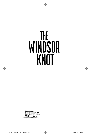## **THE** WINDSOR KNOT

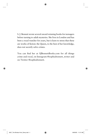S. J. Bennett wrote several award-winning books for teenagers before turning to adult mysteries. She lives in London and has been a royal watcher for years, but is keen to stress that these are works of fiction: the Queen, to the best of her knowledge, does not secretly solve crimes.

You can find her at SJBennettBooks.com for all things crime and royal, on Instagram @sophiabennett\_writer and on Twitter @sophiabennett.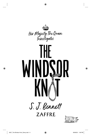

# THE WINDSOR KN S. J. Bennett **ZAFFRE**

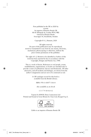First published in the UK in 2020 by ZAFFRE An imprint of Bonnier Books UK 80–81 Wimpole St, London W1G 9RE Owned by Bonnier Books Sveavägen 56, Stockholm, Sweden

Copyright © S. J. Bennett, 2020

All rights reserved. No part of this publication may be reproduced, stored or transmitted in any form by any means, electronic, mechanical, photocopying or otherwise, without the prior written permission of the publisher.

The right of S. J. Bennett to be identified as Author of this work has been asserted by her in accordance with the Copyright, Designs and Patents Act, 1988.

This is a work of fiction. References to real people, events, establishments, organizations, or locales are intended only to provide a sense of authenticity and are used fictitiously. All other characters, and all incidents and dialogue, are drawn from the author's imagination and are not to be construed as real.

> A CIP catalogue record for this book is available from the British Library.

> > ISBN: 978–1–83877–316–8

*Also available as an ebook*

1 3 5 7 9 10 8 6 4 2

Typeset by IDSUK (Data Connection) Ltd Printed and bound in Great Britain by Clays Ltd, Elcograf S.p.A.



Zaffre is an imprint of Bonnier Books UK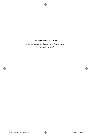#### *For E*

*And for Charlie and Ros, who combine the pleasure of fiction and the pursuit of truth*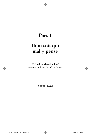#### **Part 1**

### **Honi soit qui mal y pense**

'Evil to him who evil thinks' – Motto of the Order of the Garter

APRIL 2016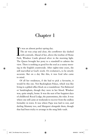#### Chapter 1

t was an almost perfect spring day.

I<br>Parl The air was crisp and clear, the cornflower sky slashed with contrails. Ahead of her, above the treeline of Home Park, Windsor Castle glowed silver in the morning light. The Queen brought her pony to a standstill to admire the view. There is nothing as good for the soul as a sunny morning in the English countryside. After eighty-nine years, she still marvelled at God's work. Or evolution's, to be strictly accurate. But on a day like this, it was God who came to mind.

Of all her residences, if she had to pick a favourite, it would be this one. Not Buckingham Palace, which was like living in a gilded office block on a roundabout. Not Balmoral or Sandringham, though they were in her blood. Windsor was, quite simply, home. It was the seat of her happiest days of childhood: Royal Lodge, the pantomimes, the rides. It was where one still came at weekends to recover from the endless formality in town. It was where Papa was laid to rest, and darling Mummy too, and Margaret alongside them, though that had been tricky to arrange in the snug little vault.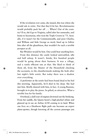If the revolution ever came, she mused, this was where she would ask to retire. Not that they'd let her. Revolutionaries would probably pack her off . . . Where? Out of the country? If so, she'd go to Virginia, called after her namesake, and home to Secretariat, who won the Triple Crown in '73. Actually, if it wasn't for the Commonwealth, and poor Charles, and William and little George so nicely lined up to follow him after all the ghastliness, that wouldn't be such a terrible prospect at all.

But Windsor would be best. One could bear anything here.

From this distance the castle looked untroubled, idle and half asleep. It wasn't. Inside, five hundred people would be going about their business. It was a village, and a vastly efficient one at that. She liked to think of them all, from the Master of the Household checking the accounts, to the chambermaids making the beds after last night's little soirée. But today there was a shadow over everything.

A performer at the soirée had been found dead in his bed this morning. Apparently, he'd died in his sleep. She had met him. Briefly danced with him, in fact. A young Russian, brought in to play the piano. So gifted, so attractive. What a terrible loss for his family.

Overhead, a dull roar of engines drowned out the birdsong. From her saddle, the Queen heard a high-pitched whine and glanced up to see an Airbus A330 coming in to land. When one lives on a Heathrow flight path one becomes an expert plane-spotter, though knowing all the current passenger jets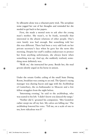by silhouette alone was a reluctant party trick. The aeroplane noise jogged her out of her thoughts and reminded her she needed to get back to her papers.

First, she made a mental note to ask after the young man's mother. She wasn't, to be frank, normally that interested in the absent relations of other people. One's own family was bad enough. But something told her this was different. There had been a very odd look on her private secretary's face when he gave her the news this morning. Despite her staff's endless endeavours to protect her from anything unfortunate, she always knew when something was up. And up, she suddenly realised, something most definitely was.

'Walk on,' she instructed her pony. Beside her, the stud groom silently urged on his horse in unison.

Under the ornate Gothic ceiling of the small State Dining Room, breakfast was coming to an end. The Queen's racing manager was sharing bacon and eggs with the Archbishop of Canterbury, the ex-Ambassador to Moscow and a few fellow stragglers from the night before.

'Interesting evening,' he said to the archbishop, who was seated to his left. 'I didn't know you danced the tango.'

'Neither did I,' groaned his companion. 'Mrs Gostelow rather swept me off my feet. My calves are killing me.' The archbishop lowered his voice. 'Tell me, on a scale of one to ten, how ridiculous was I?'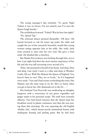The racing manager's lips twitched. 'To quote Nigel Tufnel, it was an eleven. I'm not entirely sure I've seen the Queen laugh harder.'

The archbishop frowned. 'Tufnel? Was he here last night?' 'No. *Spinal Tap*.'

The reluctant dancer grinned sheepishly. 'Oh dear.' He leaned forward to rub his lower leg under the table and caught the eye of the extremely beautiful, model-thin young woman sitting opposite him at the table. Her wide, dark irises seemed to stare into his very soul. She gave a faint smile. He blushed like a choirboy.

But Masha Peyrovskaya was looking through him, not at him. Last night had been the most intense experience of her life and she was still savouring every second of it.

'Dine,' she practised to herself in her head, 'and sleep. Dine and sleep. Last week I went to a dine and sleep at Windsor Castle. Oh yes. With Her Majesty the Queen of England. You haven't been to one? They are so lovely.' As if it happened every week. 'Yuri and I had rooms overlooking the town. Her Majesty uses the same soap as we do. She's so funny when you get to know her. Her diamonds are to die for . . .'

Her husband Yuri Peyrovski was medicating an almighty hangover with a concoction of raw green vegetables and ginger made to his personal recipe. The staff were certainly efficient. Yuri had heard rumours that the Queen kept her breakfast cereal in plastic containers (not that she was joining them this morning). He was expecting the old English 'shabby chic', which meant poorly maintained homes with inadequate heating and peeling paint. But he had been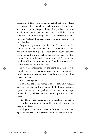misinformed. This room, for example, had elaborate red silk curtains, two dozen matching gilt chairs around the table and a pristine carpet of bespoke design. Every other room was equally immaculate. Even his own butler would find little to fault here. The port last night had been excellent, too. And the wine. And had there been brandy? He dimly remembered there had been.

Despite the pounding in his head, he turned to the woman on his left, who was the ex-ambassador's wife, and asked how he might go about procuring the services of a personal librarian, such as the one they had met after dinner. The ex-ambassador's wife, who didn't know, but had lots of impecunious, well-read friends, turned up the charm to eleven and did her best.

They were interrupted by the sight of a tall, ravenhaired woman in a pleated trouser suit, who appeared in the doorway in a dramatic pose, hand on hip, carmine lips pursed in alarm.

'Oh, I'm sorry! Am I late?'

'Not at all,' the racing manager offered amicably, though she was, extremely. Many guests had already returned upstairs to oversee the packing of their overnight bags. 'We're all very relaxed here. Come and grab a seat next to me.'

Meredith Gostelow made her way to the chair being pulled back for her by a footman and nodded heartfelt assent to the suggestion of coffee.

'Did you sleep well?' asked a familiar voice to her right. It was Sir David Attenborough, as melodious and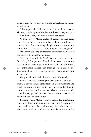solicitous as he was on TV. It made her feel like an endangered panda.

'Mmm, yes,' she lied. She glanced around the table as she sat, caught sight of the beautiful Masha Peyrovskaya half-smiling at her, and almost missed her chair.

'*I* didn't sleep,' Masha muttered huskily. Several heads swivelled to look at her, except her husband, who frowned into his juice. 'I was thinking all night about the beauty, the music, the . . . "сказка" . . . How do you say in English?'

'The fairy tale,' the ambassador murmured from across the table, with a crack in his voice.

'Yes, the fairy tale. Isn't it? Just like being in Disney! But *classy*.' She paused. This had not come out as she had intended. Her English held her back, but she hoped her enthusiasm carried her through. 'You are lucky.' She turned to the racing manager. 'You come here often, yes?'

He grinned, as if she had made a joke. 'Absolutely.'

Before she could investigate the cause of his amusement, a new footman, resplendent in a red waistcoat and black tailcoat, walked up to her husband, bending to mutter something in his ear that Masha could not catch. Yuri flushed, pushed his chair back without a word and followed him out of the room.

Looking back, Masha blamed herself for mentioning fairy tales. Somehow, this was all her fault. Because when you consider them, fairy tales always have dark forces at their heart. Evil lurks where we most desire it not to be,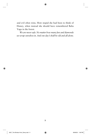and evil often wins. How stupid she had been to think of Disney, when instead she should have remembered Baba Yaga in the forest.

*We are never safe*. *No matter how many furs and diamonds we wrap ourselves in. And one day I shall be old and all alone*.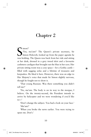#### Chapter 2

Simon?'<br>Simon<br>was holding 'Yes, ma'am?' The Queen's private secretary, Sir Simon Holcroft, looked up from the paper agenda he was holding. The Queen was back from her ride and sitting at her desk, dressed in a grey tweed skirt and a favourite cashmere cardigan that brought out the blue in her eyes. Her private sitting room was a cosy space – for a Gothic castle – filled with sagging sofas and a lifetime of treasures and keepsakes. He liked it here. However, there was an edge to Her Majesty's voice that made Sir Simon slightly nervous, though he fought not to show it.

'That young Russian. Was there something you didn't tell me?'

'No, ma'am. The body is on its way to the morgue, I believe. On the twenty-second, the President intends to arrive by helicopter and we were wondering if you'd like to—'

'Don't change the subject. You had a look on your face.'

'Ma'am?'

'When you broke the news earlier. You were trying to spare me. Don't.'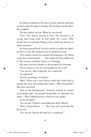Sir Simon swallowed. He knew exactly what he had been trying to spare his aged sovereign. But the Boss was the Boss. He coughed.

'He was naked, ma'am. When he was found.'

'Yes?' The Queen peered at him. She pictured a fit young man lying nude in bed under the covers. Why would this be unusual? Philip in his youth was known to spurn pyjamas.

Sir Simon peered back. It took a while to realise she didn't see this as odd. She needed more; he girded his loins.

'Um, naked, except for a purple dressing gown. By whose cord, most unfortunately . . .' He trailed off. He couldn't do it. The woman would be ninety in a fortnight.

Her stare resolved sharply as she grasped his meaning.

'Do you mean to say he was hanging by the cord?'

'Yes, ma'am. Most tragically. In a cupboard.'

'A cupboard?'

'Strictly speaking, a wardrobe.'

'Well.' There was a brief silence while they both tried to picture the scene and wished they hadn't. 'Who found him?' Her tone was brisk.

'One of the housekeepers. Someone noticed he wasn't at breakfast and' – he paused fractionally, to remember the name – 'Mrs Cobbold went to check he was awake.'

'Is she all right?'

'No, ma'am. I believe counselling has been offered.'

'How extraordinary . . .' She was still picturing the discovery.

'Yes, ma'am. But by the look of it, accidental.'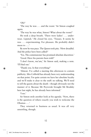'Oh?'

'The way he was . . . and the room.' Sir Simon coughed again.

'The way he was what, Simon? What about the room?'

He took a deep breath. 'There were ladies' . . . underwear. Lipstick.' He closed his eyes. 'Tissues. It seems he was . . . experimenting. For pleasure. He probably didn't mean to . . .'

By now he was puce. The Queen took pity. 'How dreadful. And the police have been called?'

'Yes. The commissioner has promised absolute discretion.' 'Good. Have his parents been told?'

'I don't know, ma'am,' Sir Simon said, making a note. 'I'll find out.'

'Thank you. Is that everything?'

'Almost. I've called a meeting this afternoon to contain publicity. Mrs Cobbold has already been very understanding on that point. I'm quite certain we have her absolute loyalty and we'll make it clear to the staff: no talking. We'll need to tell the guests about the death – though obviously not the manner of it. Because Mr Peyrovski brought Mr Brodsky here last night, he has already been informed.'

'I see.'

Sir Simon stole another look at his agenda. 'Now, there is the question of where exactly you wish to welcome the Obamas ,

They returned to business as usual. It was all very unsettling, though.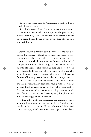To have happened here. At Windsor. In a cupboard. In a purple dressing gown.

She didn't know if she felt more sorry for the castle or the man. It was much more tragic for the poor young pianist, obviously. But she knew the castle better. Knew it like a second skin. It was awful, awful. And after such a wonderful night.

It was the Queen's habit to spend a month at the castle in spring, for the Easter Court. Away from the excessive formality of the palace, she could entertain in a more relaxed, informal style – which meant parties for twenty, instead of banquets for a hundred and sixty, and the chance to catch up with old friends. This particular dine and sleep, a week after Easter, had been somewhat hijacked by Charles, who wanted to use it to curry favour with some rich Russians for one of his pet projects that needed a cash injection.

Charles had requested the presence of Yuri Peyrovski and his preternaturally beautiful young wife, as well as a hedge-fund manager called Jay Hax who specialised in Russian markets and was known for being crashingly dull. As a favour to her son the Queen agreed, though she had added a few suggestions of her own.

Sitting at her desk, she considered the guest list, where a copy still sat among her papers. Sir David Attenborough had been there, of course. He was always a delight, and one's own age, which was rare these days. He had been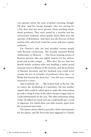very gloomy about the state of global warming, though. Oh dear. And her racing manager, who was staying for a few days and was never gloomy about anything much, thank goodness. They were joined by a novelist and her screenwriter husband, whose gentle, funny films were the epitome of Britishness. And there was the Provost of Eton and his wife, who lived round the corner and were regular stalwarts.

For Charles's sake she had included various people with Russian connections. The recently returned British Ambassador to Moscow . . . The Oscar-winning actress of Russian descent, who was rightly famous for her *embonpoint* and acerbic tongue . . . Who else? Ah yes, that star British female architect who was building a rather grand museum annex in Russia at the moment, and the professor of Russian literature and her husband (you could never assume the sex or sexuality of professors these days – as Philip had learned the hard way – but this was a woman, married to a man).

And somebody else . . . She looked back at the list. Oh, of *course*, the Archbishop of Canterbury. He was another regular who could be relied upon to make the conversation go with a swing if some of the others became tongue-tied, as could unfortunately be the case. The other misfortune being if they all talked too much and one could hardly get a word in edgeways. For which there was little remedy, apart from the occasional stern look.

The Queen always liked to provide a little entertainment for her guests, and Mr Peyrovski had suggested to Charles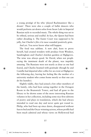a young protégé of his who 'played Rachmaninov like a dream'. There were also a couple of ballet dancers who would perform cut-down solos from *Swan Lake* in Imperial Russian style to recorded music. The whole thing was set to be refined, serious and soulful. In fact, the Queen had been rather dreading it. The Easter Court was supposed to be jolly, but Charles's *fête à la russe* sounded positively grim.

And yet. You never know what will happen.

The food was sublime. A new chef, keen to prove herself, had created wonders with produce from Windsor, Sandringham and Charles's kitchen gardens at Highgrove. The wine was always good. Sir David, when not prophesying the imminent death of the planet, was impishly amusing. The Russians were not nearly as dour as one had feared, and Charles beamed with gratitude (though he and Camilla had departed after coffee for an event at Highgrove the following day, leaving her feeling like the mother of a university student who comes home merely so that one can do his laundry).

Slightly tiddly, they had joined a few other members of the family, who had been eating together in the Octagon Room in the Brunswick Tower, and had all gone to the library to be shown some of the more interesting Russian volumes in her collection, including some nice first editions of poetry and plays in translation, which she had always intended to read one day and never quite got round to. Philip, who had been up since dawn, disappeared without fuss to bed and the Oscar-winning actress, whose profile had been much admired and whose views on Hollywood had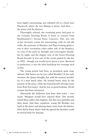been highly entertaining, was whisked off to a hotel near Pinewood, where she was filming at dawn. And then . . . the piano and the dancers.

Thoroughly relaxed, the remaining party had gone to the Crimson Drawing Room to listen to extracts from Rachmaninov's Second Piano Concerto. This was one of her favourite rooms for entertaining, with its red silk walls, the portraits of Mummy and Papa looking glamorous in their coronation robes either side of the fireplace, its vista of the park by daylight and extravagant chandelier by night, and the elegant view of the Green Drawing Room beyond. It was one of the rooms gutted by the fire in 1992 – though you would never know it now. Restored to perfection, it was the ideal backdrop for evenings such as this.

The young pianist had been, as promised, quite magnificent. Did Simon say he was called Brodsky? In his early twenties, the Queen thought, but with the musical sensibility of a man much older. He seemed borne away by the passion of the piece, while she found herself reliving scenes from *Brief Encounter*. And he was so good-looking. All the women had been entranced.

Afterwards the ballerinas had done their solos – very nicely. Margaret would have enjoyed them. One secretly found them rather clip-cloppety, but that was probably just their shoes. And then, somehow, young Mr Brodsky was back at the piano and playing dance tunes from the thirties. How did he know them? And she agreed the furniture could be moved back for dancing.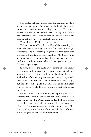It all started out quite decorously, then someone else had sat at the piano. Who? The professor's husband, she seemed to remember, and he was surprisingly good too. The young Russian was freed to join the assembled company. With impeccable manners he had clicked his heels and bowed down to his hostess, with a look of real supplication in his eyes.

'Your Majesty. Would you care to dance?'

Well, as a matter of fact, she would. And the next thing she knew, she was foxtrotting across the floor with no thought for sciatica. She was wearing a light silk chiffon gown that evening, with plenty of swing in the skirts. Mr Brodsky was an expert partner, reminding her of steps she had forgotten she knew. His timing was flawless. He managed to make one feel like Ginger Rogers.

By now, most of the party were joining in. The music was louder and bolder. An Argentine tango struck up. Was it still the professor's husband at the piano? Even the Archbishop of Canterbury was tempted to cut a rug, much to everyone's amusement. A few other couples gave it a go, but nobody could begin to match the Russian and his latest partner – one of the ballerinas – striding majestically across the floor.

She had retired soon afterwards, leaving the guests with the reassurance that they could continue for as long as they liked. In her day, the Queen could outlast half the Foreign Office, but now she tended to droop after half past ten. However, that was no reason to cut short a good party. Her dresser, who got it from one of the under-butlers, informed her it had gone on until well after midnight.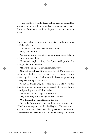That was the last she had seen of him: dancing around the drawing room floor floor with a beautiful young ballerina in his arms. Looking magnificent, happy  $\dots$  and so intensely alive.

Philip was full of the news when he arrived to share a coffee with her after lunch.

'Lilibet, did you hear the man was nude?'

'Yes, actually, I did.'

'Strung up like a Tory MP. There's a word for it. What is it? Auto-sex-something?

'Autoerotic asphyxiation,' the Queen said grimly. She had googled it on her iPad.

'That's the bugger. D'you remember Buffy?'

One did indeed recall the seventh Earl of Wandle, an old friend who had been rather partial to the practice in the fifties, by all accounts. Back then it had seemed practically *de rigueur* among a certain set.

'What the butler saw, eh?' Philip said. 'Had to rescue the blighter on many an occasion, apparently. Buffy was hardly an oil painting, even with his clothes on.'

'What was he thinking?' she wondered.

'My dear, I try not to imagine Buffy's sex life.'

'No. I mean the young Russian. Brodsky.'

'Well, that's obvious,' Philip said, gesturing around him. 'You know what people are like in this place. They come here, decide it's the pinnacle of their bloody existence and need to let off steam. The high jinks that go on when they think we're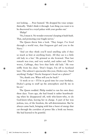not looking . . . Poor bastard.' He dropped his voice sympathetically. 'Didn't think it through. Last thing you want is to be discovered in a royal palace with your goolies out.'

'Philip!'

'No, I mean it. No wonder everyone's keeping it hush-hush. That, and protecting your fragile nerves.'

The Queen threw him a look. 'They forget. I've lived through a world war, that Ferguson girl and you in the Navy.'

'And yet they think you'll need smelling salts if they so much as hint at anything fruity. All they see is a little old lady in a hat.' He grinned as she frowned. That last remark was true, and very useful, and rather sad. 'Don't worry, Cabbage, they love that little old lady.' He rose stiffly from his chair. 'Don't forget, I'm off to Scotland later. The salmon's spectacular this year, Dickie says. Need anything? Fudge? Nicola Sturgeon's head on a platter?'

'No, thank you. When will you be back?'

'A week or so – I'll be in good time for your birthday. Dickie's going to stuff up the atmosphere and fly me in his jet.'

The Queen nodded. Philip tended to run his own diary these days. Years ago, she had found it rather heartbreaking when he disappeared off, with who-knew-who, to do God-knew-what, leaving her in charge. A part of her was jealous, too, of the freedom, the self-determination. But he always came back, bringing with him a burst of energy that cut through the corridors of power like a brisk sea breeze. She had learned to be grateful.